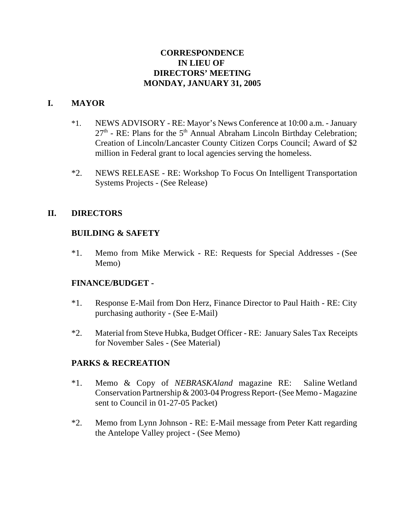# **CORRESPONDENCE IN LIEU OF DIRECTORS' MEETING MONDAY, JANUARY 31, 2005**

## **I. MAYOR**

- \*1. NEWS ADVISORY RE: Mayor's News Conference at 10:00 a.m. January  $27<sup>th</sup>$  - RE: Plans for the  $5<sup>th</sup>$  Annual Abraham Lincoln Birthday Celebration; Creation of Lincoln/Lancaster County Citizen Corps Council; Award of \$2 million in Federal grant to local agencies serving the homeless.
- \*2. NEWS RELEASE RE: Workshop To Focus On Intelligent Transportation Systems Projects - (See Release)

## **II. DIRECTORS**

## **BUILDING & SAFETY**

\*1. Memo from Mike Merwick - RE: Requests for Special Addresses - (See Memo)

## **FINANCE/BUDGET -**

- \*1. Response E-Mail from Don Herz, Finance Director to Paul Haith RE: City purchasing authority - (See E-Mail)
- \*2. Material from Steve Hubka, Budget Officer RE: January Sales Tax Receipts for November Sales - (See Material)

## **PARKS & RECREATION**

- \*1. Memo & Copy of *NEBRASKAland* magazine RE: Saline Wetland Conservation Partnership & 2003-04 Progress Report- (See Memo - Magazine sent to Council in 01-27-05 Packet)
- \*2. Memo from Lynn Johnson RE: E-Mail message from Peter Katt regarding the Antelope Valley project - (See Memo)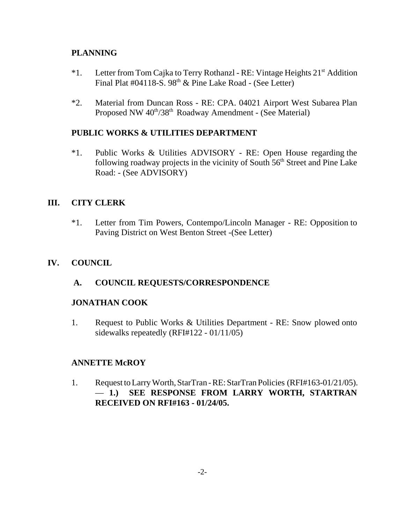# **PLANNING**

- \*1. Letter from Tom Cajka to Terry Rothanzl RE: Vintage Heights 21st Addition Final Plat #04118-S.  $98<sup>th</sup>$  & Pine Lake Road - (See Letter)
- \*2. Material from Duncan Ross RE: CPA. 04021 Airport West Subarea Plan Proposed NW 40<sup>th</sup>/38<sup>th</sup> Roadway Amendment - (See Material)

# **PUBLIC WORKS & UTILITIES DEPARTMENT**

\*1. Public Works & Utilities ADVISORY - RE: Open House regarding the following roadway projects in the vicinity of South 56<sup>th</sup> Street and Pine Lake Road: - (See ADVISORY)

# **III. CITY CLERK**

\*1. Letter from Tim Powers, Contempo/Lincoln Manager - RE: Opposition to Paving District on West Benton Street -(See Letter)

# **IV. COUNCIL**

## **A. COUNCIL REQUESTS/CORRESPONDENCE**

## **JONATHAN COOK**

1. Request to Public Works & Utilities Department - RE: Snow plowed onto sidewalks repeatedly (RFI#122 - 01/11/05)

## **ANNETTE McROY**

1. Request to Larry Worth, StarTran - RE: StarTran Policies (RFI#163-01/21/05). — **1.) SEE RESPONSE FROM LARRY WORTH, STARTRAN RECEIVED ON RFI#163 - 01/24/05.**